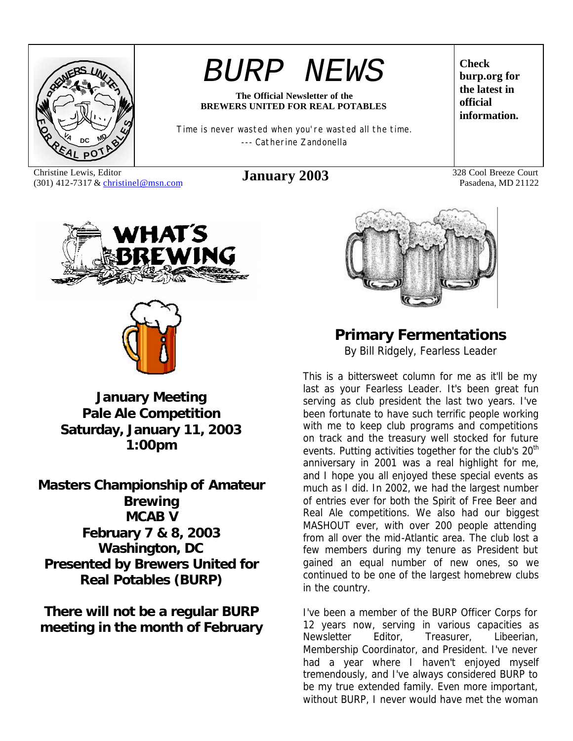

# *BURP NEWS*

#### **The Official Newsletter of the BREWERS UNITED FOR REAL POTABLES**

Time is never wasted when you're wasted all the time. --- Catherine Zandonella

Christine Lewis, Editor Christine Lewis, Editor **January 2003** 328 Cool Breeze Court (301) 412-7317 & christinel@msn.com **January 2003** 

**Check burp.org for the latest in official information.**

Pasadena, MD 21122





**January Meeting Pale Ale Competition Saturday, January 11, 2003 1:00pm**

**Masters Championship of Amateur Brewing MCAB V February 7 & 8, 2003 Washington, DC Presented by Brewers United for Real Potables (BURP)**

**There will not be a regular BURP meeting in the month of February**



**Primary Fermentations** *By Bill Ridgely, Fearless Leader*

This is a bittersweet column for me as it'll be my last as your Fearless Leader. It's been great fun serving as club president the last two years. I've been fortunate to have such terrific people working with me to keep club programs and competitions on track and the treasury well stocked for future events. Putting activities together for the club's 20<sup>th</sup> anniversary in 2001 was a real highlight for me, and I hope you all enjoyed these special events as much as I did. In 2002, we had the largest number of entries ever for both the Spirit of Free Beer and Real Ale competitions. We also had our biggest MASHOUT ever, with over 200 people attending from all over the mid-Atlantic area. The club lost a few members during my tenure as President but gained an equal number of new ones, so we continued to be one of the largest homebrew clubs in the country.

I've been a member of the BURP Officer Corps for 12 years now, serving in various capacities as Newsletter Editor, Treasurer, Libeerian, Membership Coordinator, and President. I've never had a year where I haven't enjoyed myself tremendously, and I've always considered BURP to be my true extended family. Even more important, without BURP, I never would have met the woman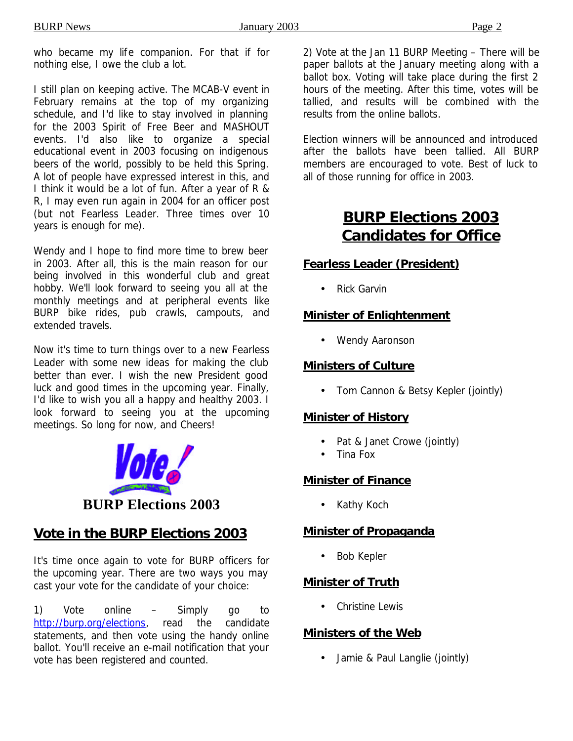who became my life companion. For that if for nothing else, I owe the club a lot.

I still plan on keeping active. The MCAB-V event in February remains at the top of my organizing schedule, and I'd like to stay involved in planning for the 2003 Spirit of Free Beer and MASHOUT events. I'd also like to organize a special educational event in 2003 focusing on indigenous beers of the world, possibly to be held this Spring. A lot of people have expressed interest in this, and I think it would be a lot of fun. After a year of R & R, I may even run again in 2004 for an officer post (but not Fearless Leader. Three times over 10 years is enough for me).

Wendy and I hope to find more time to brew beer in 2003. After all, this is the main reason for our being involved in this wonderful club and great hobby. We'll look forward to seeing you all at the monthly meetings and at peripheral events like BURP bike rides, pub crawls, campouts, and extended travels.

Now it's time to turn things over to a new Fearless Leader with some new ideas for making the club better than ever. I wish the new President good luck and good times in the upcoming year. Finally, I'd like to wish you all a happy and healthy 2003. I look forward to seeing you at the upcoming meetings. So long for now, and Cheers!



### **Vote in the BURP Elections 2003**

It's time once again to vote for BURP officers for the upcoming year. There are two ways you may cast your vote for the candidate of your choice:

1) Vote online – Simply go to http://burp.org/elections, read the candidate statements, and then vote using the handy online ballot. You'll receive an e-mail notification that your vote has been registered and counted.

2) Vote at the Jan 11 BURP Meeting – There will be paper ballots at the January meeting along with a ballot box. Voting will take place during the first 2 hours of the meeting. After this time, votes will be tallied, and results will be combined with the results from the online ballots.

Election winners will be announced and introduced after the ballots have been tallied. All BURP members are encouraged to vote. Best of luck to all of those running for office in 2003.

### **BURP Elections 2003 Candidates for Office**

### **Fearless Leader (President)**

• Rick Garvin

### **Minister of Enlightenment**

• Wendy Aaronson

#### **Ministers of Culture**

• Tom Cannon & Betsy Kepler (jointly)

### **Minister of History**

- Pat & Janet Crowe (jointly)
- Tina Fox

### **Minister of Finance**

• Kathy Koch

### **Minister of Propaganda**

Bob Kepler

### **Minister of Truth**

• Christine Lewis

### **Ministers of the Web**

• Jamie & Paul Langlie (jointly)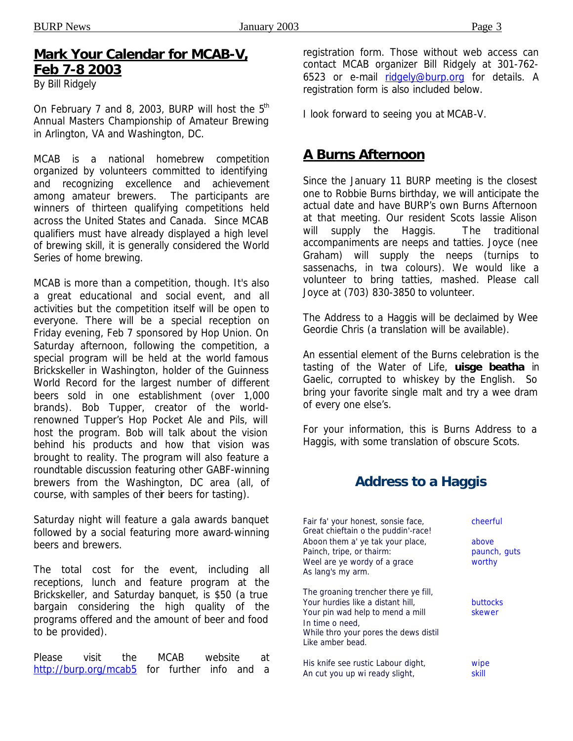### **Mark Your Calendar for MCAB-V, Feb 7-8 2003**

*By Bill Ridgely*

On February 7 and 8, 2003, BURP will host the  $5<sup>th</sup>$ Annual Masters Championship of Amateur Brewing in Arlington, VA and Washington, DC.

MCAB is a national homebrew competition organized by volunteers committed to identifying and recognizing excellence and achievement among amateur brewers. The participants are winners of thirteen qualifying competitions held across the United States and Canada. Since MCAB qualifiers must have already displayed a high level of brewing skill, it is generally considered the World Series of home brewing.

MCAB is more than a competition, though. It's also a great educational and social event, and all activities but the competition itself will be open to everyone. There will be a special reception on Friday evening, Feb 7 sponsored by Hop Union. On Saturday afternoon, following the competition, a special program will be held at the world famous Brickskeller in Washington, holder of the Guinness World Record for the largest number of different beers sold in one establishment (over 1,000 brands). Bob Tupper, creator of the worldrenowned Tupper's Hop Pocket Ale and Pils, will host the program. Bob will talk about the vision behind his products and how that vision was brought to reality. The program will also feature a roundtable discussion featuring other GABF-winning brewers from the Washington, DC area (all, of course, with samples of their beers for tasting).

Saturday night will feature a gala awards banquet followed by a social featuring more award-winning beers and brewers.

The total cost for the event, including all receptions, lunch and feature program at the Brickskeller, and Saturday banquet, is \$50 (a true bargain considering the high quality of the programs offered and the amount of beer and food to be provided).

Please visit the MCAB website at http://burp.org/mcab5 for further info and a registration form. Those without web access can contact MCAB organizer Bill Ridgely at 301-762- 6523 or e-mail ridgely@burp.org for details. A registration form is also included below.

I look forward to seeing you at MCAB-V.

### **A Burns Afternoon**

Since the January 11 BURP meeting is the closest one to Robbie Burns birthday, we will anticipate the actual date and have BURP's own Burns Afternoon at that meeting. Our resident Scots lassie Alison will supply the Haggis. The traditional accompaniments are neeps and tatties. Joyce (nee Graham) will supply the neeps (turnips to sassenachs, in twa colours). We would like a volunteer to bring tatties, mashed. Please call Joyce at (703) 830-3850 to volunteer.

The Address to a Haggis will be declaimed by Wee Geordie Chris (a translation will be available).

An essential element of the Burns celebration is the tasting of the Water of Life, **uisge beatha** in Gaelic, corrupted to *whiskey* by the English. So bring your favorite single malt and try a wee dram of every one else's.

For your information, this is Burns Address to a Haggis, with some translation of obscure Scots.

### **Address to a Haggis**

| Fair fa' your honest, sonsie face,<br>Great chieftain o the puddin'-race!                                                                                                                     | cheerful                        |
|-----------------------------------------------------------------------------------------------------------------------------------------------------------------------------------------------|---------------------------------|
| Aboon them a' ye tak your place,<br>Painch, tripe, or thairm:<br>Weel are ye wordy of a grace<br>As lang's my arm.                                                                            | above<br>paunch, guts<br>worthy |
| The groaning trencher there ye fill,<br>Your hurdies like a distant hill.<br>Your pin wad help to mend a mill<br>In time o need,<br>While thro your pores the dews distil<br>Like amber bead. | <b>buttocks</b><br>skewer       |
| His knife see rustic Labour dight,<br>An cut you up wi ready slight,                                                                                                                          | wipe<br>skill                   |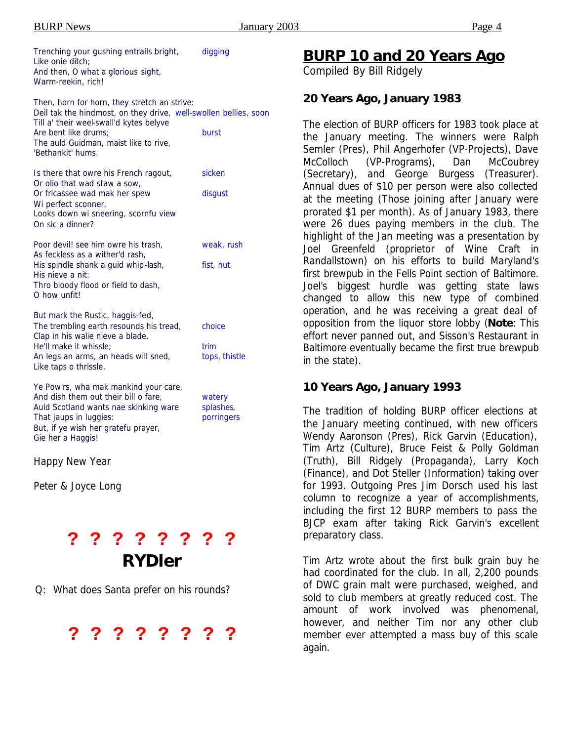| Trenching your gushing entrails bright,<br>Like onie ditch;<br>And then, O what a glorious sight,<br>Warm-reekin, rich!                                                                                                                           | digging                           |
|---------------------------------------------------------------------------------------------------------------------------------------------------------------------------------------------------------------------------------------------------|-----------------------------------|
| Then, horn for horn, they stretch an strive:<br>Deil tak the hindmost, on they drive, well-swollen bellies, soon<br>Till a' their weel-swall'd kytes belyve<br>Are bent like drums;<br>The auld Guidman, maist like to rive,<br>'Bethankit' hums. | burst                             |
| Is there that owre his French ragout,<br>Or olio that wad staw a sow,<br>Or fricassee wad mak her spew<br>Wi perfect sconner,<br>Looks down wi sneering, scornfu view<br>On sic a dinner?                                                         | sicken<br>disgust                 |
| Poor devil! see him owre his trash,<br>As feckless as a wither'd rash,<br>His spindle shank a guid whip-lash,<br>His nieve a nit:<br>Thro bloody flood or field to dash,<br>O how unfit!                                                          | weak, rush<br>fist, nut           |
| But mark the Rustic, haggis-fed,<br>The trembling earth resounds his tread,<br>Clap in his walie nieve a blade,<br>He'll make it whissle;<br>An legs an arms, an heads will sned,<br>Like taps o thrissle.                                        | choice<br>trim<br>tops, thistle   |
| Ye Pow'rs, wha mak mankind your care,<br>And dish them out their bill o fare,<br>Auld Scotland wants nae skinking ware<br>That jaups in luggies:<br>But, if ye wish her gratefu prayer,<br>Gie her a Haggis!                                      | watery<br>splashes,<br>porringers |
| Happy New Year                                                                                                                                                                                                                                    |                                   |
| Peter & Joyce Long                                                                                                                                                                                                                                |                                   |
|                                                                                                                                                                                                                                                   |                                   |
| ? ? ? ? ? ?                                                                                                                                                                                                                                       | ?                                 |

Q: What does Santa prefer on his rounds?



*RYDler*

### **BURP 10 and 20 Years Ago**

*Compiled By Bill Ridgely*

#### **20 Years Ago, January 1983**

The election of BURP officers for 1983 took place at the January meeting. The winners were Ralph Semler (Pres), Phil Angerhofer (VP-Projects), Dave McColloch (VP-Programs), Dan McCoubrey (Secretary), and George Burgess (Treasurer). Annual dues of \$10 per person were also collected at the meeting (Those joining after January were prorated \$1 per month). As of January 1983, there were 26 dues paying members in the club. The highlight of the Jan meeting was a presentation by Joel Greenfeld (proprietor of Wine Craft in Randallstown) on his efforts to build Maryland's first brewpub in the Fells Point section of Baltimore. Joel's biggest hurdle was getting state laws changed to allow this new type of combined operation, and he was receiving a great deal of opposition from the liquor store lobby (**Note**: This effort never panned out, and Sisson's Restaurant in Baltimore eventually became the first true brewpub in the state).

#### **10 Years Ago, January 1993**

The tradition of holding BURP officer elections at the January meeting continued, with new officers Wendy Aaronson (Pres), Rick Garvin (Education), Tim Artz (Culture), Bruce Feist & Polly Goldman (Truth), Bill Ridgely (Propaganda), Larry Koch (Finance), and Dot Steller (Information) taking over for 1993. Outgoing Pres Jim Dorsch used his last column to recognize a year of accomplishments, including the first 12 BURP members to pass the BJCP exam after taking Rick Garvin's excellent preparatory class.

Tim Artz wrote about the first bulk grain buy he had coordinated for the club. In all, 2,200 pounds of DWC grain malt were purchased, weighed, and sold to club members at greatly reduced cost. The amount of work involved was phenomenal, however, and neither Tim nor any other club member ever attempted a mass buy of this scale again.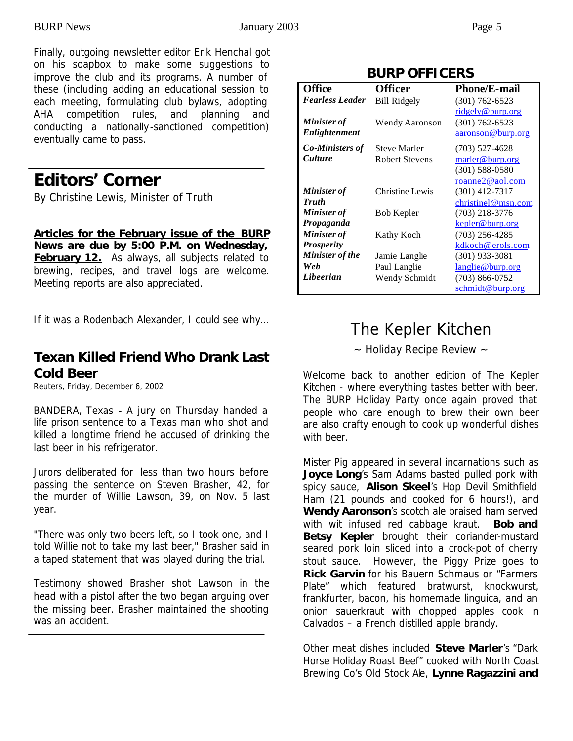*Minister of Truth*

*Minister of Propaganda*

*Minister of Prosperity*

*Web*

*Minister of the* 

(301) 588-0580 roanne2@aol.com

christinel@msn.com

kepler@burp.org

(301) 933-3081 langlie@burp.org

kdkoch@erols.com

schmidt@burp.org

Finally, outgoing newsletter editor Erik Henchal got on his soapbox to make some suggestions to improve the club and its programs. A number of these (including adding an educational session to each meeting, formulating club bylaws, adopting AHA competition rules, and planning and conducting a nationally-sanctioned competition) eventually came to pass.

### **Editors' Corner**

*By Christine Lewis, Minister of Truth*

**Articles for the February issue of the** *BURP News* **are due by 5:00 P.M. on Wednesday,**  February 12. As always, all subjects related to brewing, recipes, and travel logs are welcome. Meeting reports are also appreciated.

If it was a Rodenbach Alexander, I could see why…

### **Texan Killed Friend Who Drank Last Cold Beer**

Reuters, Friday, December 6, 2002

BANDERA, Texas - A jury on Thursday handed a life prison sentence to a Texas man who shot and killed a longtime friend he accused of drinking the last beer in his refrigerator.

Jurors deliberated for less than two hours before passing the sentence on Steven Brasher, 42, for the murder of Willie Lawson, 39, on Nov. 5 last year.

"There was only two beers left, so I took one, and I told Willie not to take my last beer," Brasher said in a taped statement that was played during the trial.

Testimony showed Brasher shot Lawson in the head with a pistol after the two began arguing over the missing beer. Brasher maintained the shooting was an accident.

| BURP UFFILERS                     |                                              |                                         |  |
|-----------------------------------|----------------------------------------------|-----------------------------------------|--|
| <b>Office</b>                     | <b>Officer</b>                               | <b>Phone/E-mail</b>                     |  |
| <b>Fearless Leader</b>            | <b>Bill Ridgely</b>                          | $(301)$ 762-6523<br>ridgely@burp.org    |  |
| Minister of<br>Enlightenment      | Wendy Aaronson                               | $(301) 762 - 6523$<br>aaronson@burp.org |  |
| <b>Co-Ministers of</b><br>Culture | <b>Steve Marler</b><br><b>Robert Stevens</b> | $(703)$ 527-4628<br>marler@burp.org     |  |

Christine Lewis (301) 412-7317

Bob Kepler (703) 218-3776

Kathy Koch (703) 256-4285

**BURP OFFICERS**

|  | The Kepler Kitchen |
|--|--------------------|

Jamie Langlie Paul Langlie

*Libeerian* Wendy Schmidt (703) 866-0752

~ Holiday Recipe Review ~

Welcome back to another edition of The Kepler Kitchen - where everything tastes better with beer. The BURP Holiday Party once again proved that people who care enough to brew their own beer are also crafty enough to cook up wonderful dishes with beer.

Mister Pig appeared in several incarnations such as **Joyce Long**'s Sam Adams basted pulled pork with spicy sauce, **Alison Skeel**'s Hop Devil Smithfield Ham (21 pounds and cooked for 6 hours!), and **Wendy Aaronson**'s scotch ale braised ham served with wit infused red cabbage kraut. **Bob and Betsy Kepler** brought their coriander-mustard seared pork loin sliced into a crock-pot of cherry stout sauce. However, the Piggy Prize goes to **Rick Garvin** for his Bauern Schmaus or "Farmers Plate" which featured bratwurst, knockwurst, frankfurter, bacon, his homemade linguica, and an onion sauerkraut with chopped apples cook in Calvados – a French distilled apple brandy.

Other meat dishes included **Steve Marler**'s "Dark Horse Holiday Roast Beef" cooked with North Coast Brewing Co's Old Stock Ale, **Lynne Ragazzini and**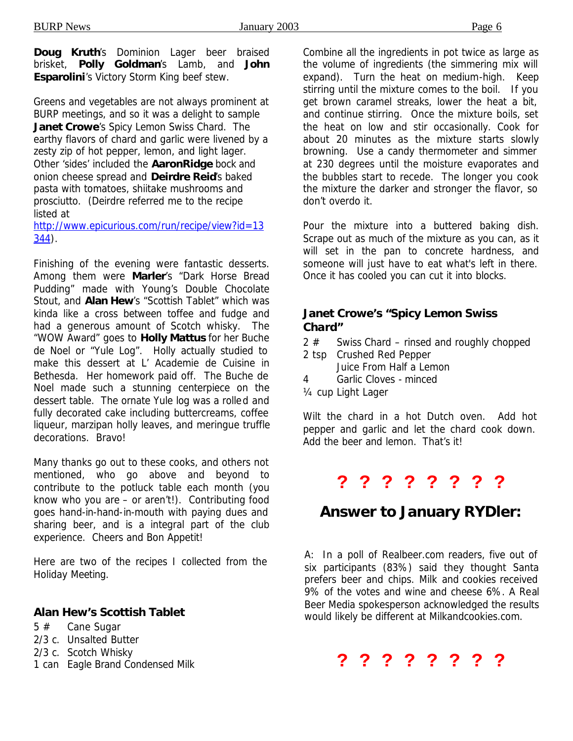**Doug Kruth's Dominion Lager beer braised** brisket, **Polly Goldman**'s Lamb, and **John Esparolini**'s Victory Storm King beef stew.

Greens and vegetables are not always prominent at BURP meetings, and so it was a delight to sample **Janet Crowe**'s Spicy Lemon Swiss Chard. The earthy flavors of chard and garlic were livened by a zesty zip of hot pepper, lemon, and light lager. Other 'sides' included the **AaronRidge** bock and onion cheese spread and **Deirdre Reid**'s baked pasta with tomatoes, shiitake mushrooms and prosciutto. (Deirdre referred me to the recipe listed at

http://www.epicurious.com/run/recipe/view?id=13 344).

Finishing of the evening were fantastic desserts. Among them were **Marler**'s "Dark Horse Bread Pudding" made with Young's Double Chocolate Stout, and **Alan Hew**'s "Scottish Tablet" which was kinda like a cross between toffee and fudge and had a generous amount of Scotch whisky. The "WOW Award" goes to **Holly Mattus** for her Buche de Noel or "Yule Log". Holly actually studied to make this dessert at L' Academie de Cuisine in Bethesda. Her homework paid off. The Buche de Noel made such a stunning centerpiece on the dessert table. The ornate Yule log was a rolled and fully decorated cake including buttercreams, coffee liqueur, marzipan holly leaves, and meringue truffle decorations. Bravo!

Many thanks go out to these cooks, and others not mentioned, who go above and beyond to contribute to the potluck table each month (you know who you are – or aren't!). Contributing food goes hand-in-hand-in-mouth with paying dues and sharing beer, and is a integral part of the club experience. Cheers and Bon Appetit!

Here are two of the recipes I collected from the Holiday Meeting.

#### *Alan Hew's Scottish Tablet*

- 5 # Cane Sugar
- 2/3 c. Unsalted Butter
- 2/3 c. Scotch Whisky
- 1 can Eagle Brand Condensed Milk

Combine all the ingredients in pot twice as large as the volume of ingredients (the simmering mix will expand). Turn the heat on medium-high. Keep stirring until the mixture comes to the boil. If you get brown caramel streaks, lower the heat a bit, and continue stirring. Once the mixture boils, set the heat on low and stir occasionally. Cook for about 20 minutes as the mixture starts slowly browning. Use a candy thermometer and simmer at 230 degrees until the moisture evaporates and the bubbles start to recede. The longer you cook the mixture the darker and stronger the flavor, so don't overdo it.

Pour the mixture into a buttered baking dish. Scrape out as much of the mixture as you can, as it will set in the pan to concrete hardness, and someone will just have to eat what's left in there. Once it has cooled you can cut it into blocks.

#### *Janet Crowe's "Spicy Lemon Swiss Chard"*

- 2 # Swiss Chard rinsed and roughly chopped
- 2 tsp Crushed Red Pepper Juice From Half a Lemon
- 4 Garlic Cloves minced
- ¼ cup Light Lager

Wilt the chard in a hot Dutch oven. Add hot pepper and garlic and let the chard cook down. Add the beer and lemon. That's it!

### **? ? ? ? ? ? ? ?**

### *Answer to January RYDler:*

A: In a poll of Realbeer.com readers, five out of six participants (83%) said they thought Santa prefers beer and chips. Milk and cookies received 9% of the votes and wine and cheese 6%. A Real Beer Media spokesperson acknowledged the results would likely be different at Milkandcookies.com.

### **? ? ? ? ? ? ? ?**